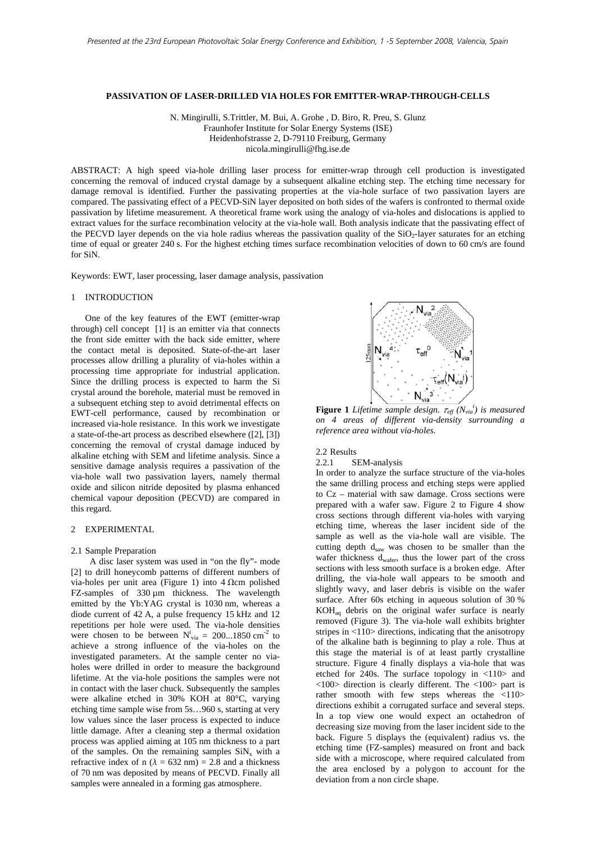# **PASSIVATION OF LASER-DRILLED VIA HOLES FOR EMITTER-WRAP-THROUGH-CELLS**

N. Mingirulli, S.Trittler, M. Bui, A. Grohe , D. Biro, R. Preu, S. Glunz Fraunhofer Institute for Solar Energy Systems (ISE) Heidenhofstrasse 2, D-79110 Freiburg, Germany nicola.mingirulli@fhg.ise.de

ABSTRACT: A high speed via-hole drilling laser process for emitter-wrap through cell production is investigated concerning the removal of induced crystal damage by a subsequent alkaline etching step. The etching time necessary for damage removal is identified. Further the passivating properties at the via-hole surface of two passivation layers are compared. The passivating effect of a PECVD-SiN layer deposited on both sides of the wafers is confronted to thermal oxide passivation by lifetime measurement. A theoretical frame work using the analogy of via-holes and dislocations is applied to extract values for the surface recombination velocity at the via-hole wall. Both analysis indicate that the passivating effect of the PECVD layer depends on the via hole radius whereas the passivation quality of the SiO<sub>2</sub>-layer saturates for an etching time of equal or greater 240 s. For the highest etching times surface recombination velocities of down to 60 cm/s are found for SiN.

Keywords: EWT, laser processing, laser damage analysis, passivation

#### 1 INTRODUCTION

One of the key features of the EWT (emitter-wrap through) cell concept [1] is an emitter via that connects the front side emitter with the back side emitter, where the contact metal is deposited. State-of-the-art laser processes allow drilling a plurality of via-holes within a processing time appropriate for industrial application. Since the drilling process is expected to harm the Si crystal around the borehole, material must be removed in a subsequent etching step to avoid detrimental effects on EWT-cell performance, caused by recombination or increased via-hole resistance. In this work we investigate a state-of-the-art process as described elsewhere ([2], [3]) concerning the removal of crystal damage induced by alkaline etching with SEM and lifetime analysis. Since a sensitive damage analysis requires a passivation of the via-hole wall two passivation layers, namely thermal oxide and silicon nitride deposited by plasma enhanced chemical vapour deposition (PECVD) are compared in this regard.

# 2 EXPERIMENTAL

#### 2.1 Sample Preparation

 A disc laser system was used in "on the fly"- mode [2] to drill honeycomb patterns of different numbers of via-holes per unit area (Figure 1) into  $4 \Omega$ cm polished FZ-samples of 330 um thickness. The wavelength emitted by the Yb:YAG crystal is 1030 nm, whereas a diode current of 42 A, a pulse frequency 15 kHz and 12 repetitions per hole were used. The via-hole densities were chosen to be between  $N_{via}^i = 200...1850$  cm<sup>-2</sup> to achieve a strong influence of the via-holes on the investigated parameters. At the sample center no viaholes were drilled in order to measure the background lifetime. At the via-hole positions the samples were not in contact with the laser chuck. Subsequently the samples were alkaline etched in 30% KOH at 80°C, varying etching time sample wise from 5s…960 s, starting at very low values since the laser process is expected to induce little damage. After a cleaning step a thermal oxidation process was applied aiming at 105 nm thickness to a part of the samples. On the remaining samples  $SiN_x$  with a refractive index of n ( $\lambda = 632$  nm) = 2.8 and a thickness of 70 nm was deposited by means of PECVD. Finally all samples were annealed in a forming gas atmosphere.



**Figure 1** Lifetime sample design.  $\tau_{eff} (N_{via}^i)$  is measured *on 4 areas of different via-density surrounding a reference area without via-holes.* 

### 2.2 Results

#### 2.2.1 SEM-analysis

In order to analyze the surface structure of the via-holes the same drilling process and etching steps were applied to Cz – material with saw damage. Cross sections were prepared with a wafer saw. Figure 2 to Figure 4 show cross sections through different via-holes with varying etching time, whereas the laser incident side of the sample as well as the via-hole wall are visible. The cutting depth  $d_{saw}$  was chosen to be smaller than the wafer thickness dwafer, thus the lower part of the cross sections with less smooth surface is a broken edge. After drilling, the via-hole wall appears to be smooth and slightly wavy, and laser debris is visible on the wafer surface. After 60s etching in aqueous solution of 30 %  $KOH<sub>aa</sub>$  debris on the original wafer surface is nearly removed (Figure 3). The via-hole wall exhibits brighter stripes in <110> directions, indicating that the anisotropy of the alkaline bath is beginning to play a role. Thus at this stage the material is of at least partly crystalline structure. Figure 4 finally displays a via-hole that was etched for 240s. The surface topology in <110> and <100> direction is clearly different. The <100> part is rather smooth with few steps whereas the <110> directions exhibit a corrugated surface and several steps. In a top view one would expect an octahedron of decreasing size moving from the laser incident side to the back. Figure 5 displays the (equivalent) radius vs. the etching time (FZ-samples) measured on front and back side with a microscope, where required calculated from the area enclosed by a polygon to account for the deviation from a non circle shape.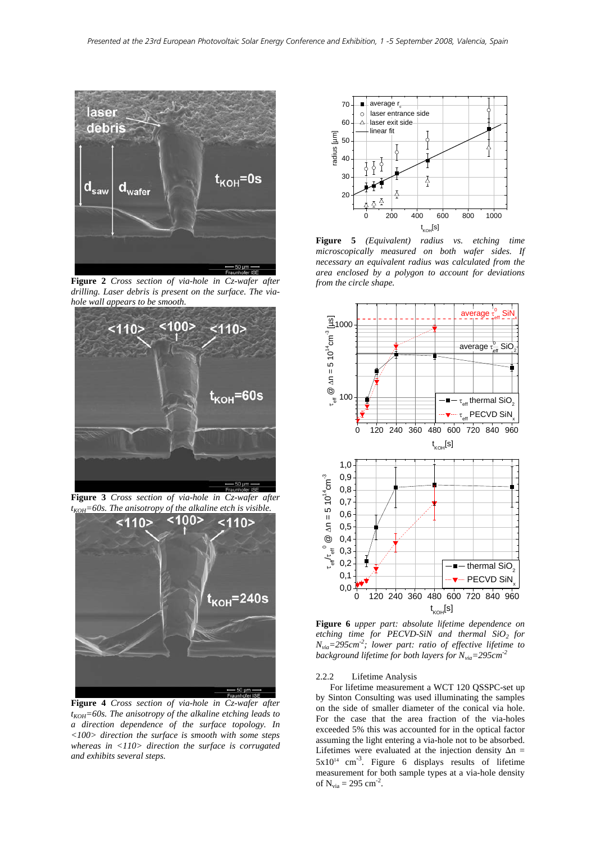

**Figure 2** *Cross section of via-hole in Cz-wafer after drilling. Laser debris is present on the surface. The viahole wall appears to be smooth.* 



**Figure 3** *Cross section of via-hole in Cz-wafer after*   $t_{KOH} = 60s$ . The anisotropy of the alkaline etch is visible.<br>**1105 - 1105 - 1105** - 1105



**Figure 4** *Cross section of via-hole in Cz-wafer after*   $t_{KOH}$ =60s. The anisotropy of the alkaline etching leads to *a direction dependence of the surface topology. In <100> direction the surface is smooth with some steps whereas in <110> direction the surface is corrugated and exhibits several steps.* 



**Figure 5** *(Equivalent) radius vs. etching time microscopically measured on both wafer sides. If necessary an equivalent radius was calculated from the area enclosed by a polygon to account for deviations from the circle shape.* 



**Figure 6** *upper part: absolute lifetime dependence on etching time for PECVD-SiN and thermal SiO2 for Nvia=295cm-2; lower part: ratio of effective lifetime to background lifetime for both layers for*  $N_{via} = 295$ cm<sup>-2</sup>

### 2.2.2 Lifetime Analysis

 For lifetime measurement a WCT 120 QSSPC-set up by Sinton Consulting was used illuminating the samples on the side of smaller diameter of the conical via hole. For the case that the area fraction of the via-holes exceeded 5% this was accounted for in the optical factor assuming the light entering a via-hole not to be absorbed. Lifetimes were evaluated at the injection density  $\Delta n =$  $5x10^{14}$  cm<sup>-3</sup>. Figure 6 displays results of lifetime measurement for both sample types at a via-hole density of  $N_{via} = 295$  cm<sup>-2</sup>.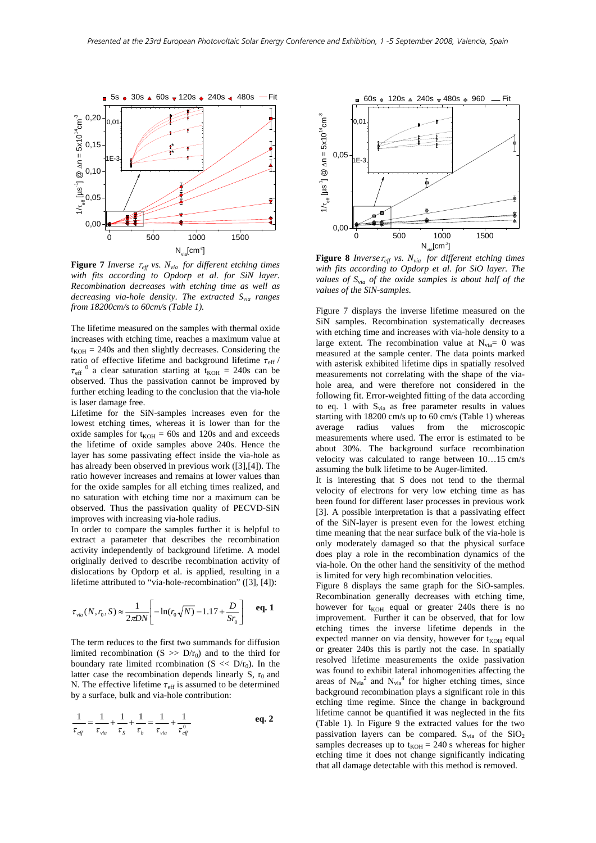

**Figure 7** *Inverse*  $\tau_{\text{eff}}$  *vs.*  $N_{\text{via}}$  *for different etching times with fits according to Opdorp et al. for SiN layer. Recombination decreases with etching time as well as decreasing via-hole density. The extracted Svia ranges from 18200cm/s to 60cm/s (Table 1).* 

The lifetime measured on the samples with thermal oxide increases with etching time, reaches a maximum value at  $t_{KOH}$  = 240s and then slightly decreases. Considering the ratio of effective lifetime and background lifetime  $\tau_{\rm eff}$  /  $\tau_{\text{eff}}$ <sup>0</sup> a clear saturation starting at t<sub>KOH</sub> = 240s can be observed. Thus the passivation cannot be improved by further etching leading to the conclusion that the via-hole is laser damage free.

Lifetime for the SiN-samples increases even for the lowest etching times, whereas it is lower than for the oxide samples for  $t_{KOH} = 60s$  and 120s and and exceeds the lifetime of oxide samples above 240s. Hence the layer has some passivating effect inside the via-hole as has already been observed in previous work ([3],[4]). The ratio however increases and remains at lower values than for the oxide samples for all etching times realized, and no saturation with etching time nor a maximum can be observed. Thus the passivation quality of PECVD-SiN improves with increasing via-hole radius.

In order to compare the samples further it is helpful to extract a parameter that describes the recombination activity independently of background lifetime. A model originally derived to describe recombination activity of dislocations by Opdorp et al. is applied, resulting in a lifetime attributed to "via-hole-recombination" ([3], [4]):

$$
\tau_{via}(N, r_0, S) \approx \frac{1}{2\pi DN} \left[ -\ln(r_0 \sqrt{N}) - 1.17 + \frac{D}{Sr_0} \right] \quad \text{eq. 1}
$$

The term reduces to the first two summands for diffusion limited recombination  $(S \gg D/r_0)$  and to the third for boundary rate limited rcombination  $(S \ll D/r_0)$ . In the latter case the recombination depends linearly S,  $r_0$  and N. The effective lifetime  $\tau_{\text{eff}}$  is assumed to be determined by a surface, bulk and via-hole contribution:

$$
\frac{1}{\tau_{\text{eff}}} = \frac{1}{\tau_{\text{via}}} + \frac{1}{\tau_s} + \frac{1}{\tau_b} = \frac{1}{\tau_{\text{via}}} + \frac{1}{\tau_{\text{eff}}^0}
$$
 eq. 2



**Figure 8** *Inverse* $\tau_{\text{eff}}$  *vs.*  $N_{via}$  *for different etching times with fits according to Opdorp et al. for SiO layer. The*  values of  $S_{via}$  of the oxide samples is about half of the *values of the SiN-samples.* 

Figure 7 displays the inverse lifetime measured on the SiN samples. Recombination systematically decreases with etching time and increases with via-hole density to a large extent. The recombination value at  $N_{via} = 0$  was measured at the sample center. The data points marked with asterisk exhibited lifetime dips in spatially resolved measurements not correlating with the shape of the viahole area, and were therefore not considered in the following fit. Error-weighted fitting of the data according to eq. 1 with  $S_{via}$  as free parameter results in values starting with 18200 cm/s up to 60 cm/s (Table 1) whereas average radius values from the microscopic measurements where used. The error is estimated to be about 30%. The background surface recombination velocity was calculated to range between 10…15 cm/s assuming the bulk lifetime to be Auger-limited.

It is interesting that S does not tend to the thermal velocity of electrons for very low etching time as has been found for different laser processes in previous work [3]. A possible interpretation is that a passivating effect of the SiN-layer is present even for the lowest etching time meaning that the near surface bulk of the via-hole is only moderately damaged so that the physical surface does play a role in the recombination dynamics of the via-hole. On the other hand the sensitivity of the method is limited for very high recombination velocities.

Figure 8 displays the same graph for the SiO-samples. Recombination generally decreases with etching time, however for  $t_{KOH}$  equal or greater 240s there is no improvement. Further it can be observed, that for low etching times the inverse lifetime depends in the expected manner on via density, however for  $t_{KOH}$  equal or greater 240s this is partly not the case. In spatially resolved lifetime measurements the oxide passivation was found to exhibit lateral inhomogenities affecting the areas of  $N_{via}^2$  and  $N_{via}^4$  for higher etching times, since background recombination plays a significant role in this etching time regime. Since the change in background lifetime cannot be quantified it was neglected in the fits (Table 1). In Figure 9 the extracted values for the two passivation layers can be compared.  $S_{via}$  of the  $SiO<sub>2</sub>$ samples decreases up to  $t_{KOH} = 240$  s whereas for higher etching time it does not change significantly indicating that all damage detectable with this method is removed.